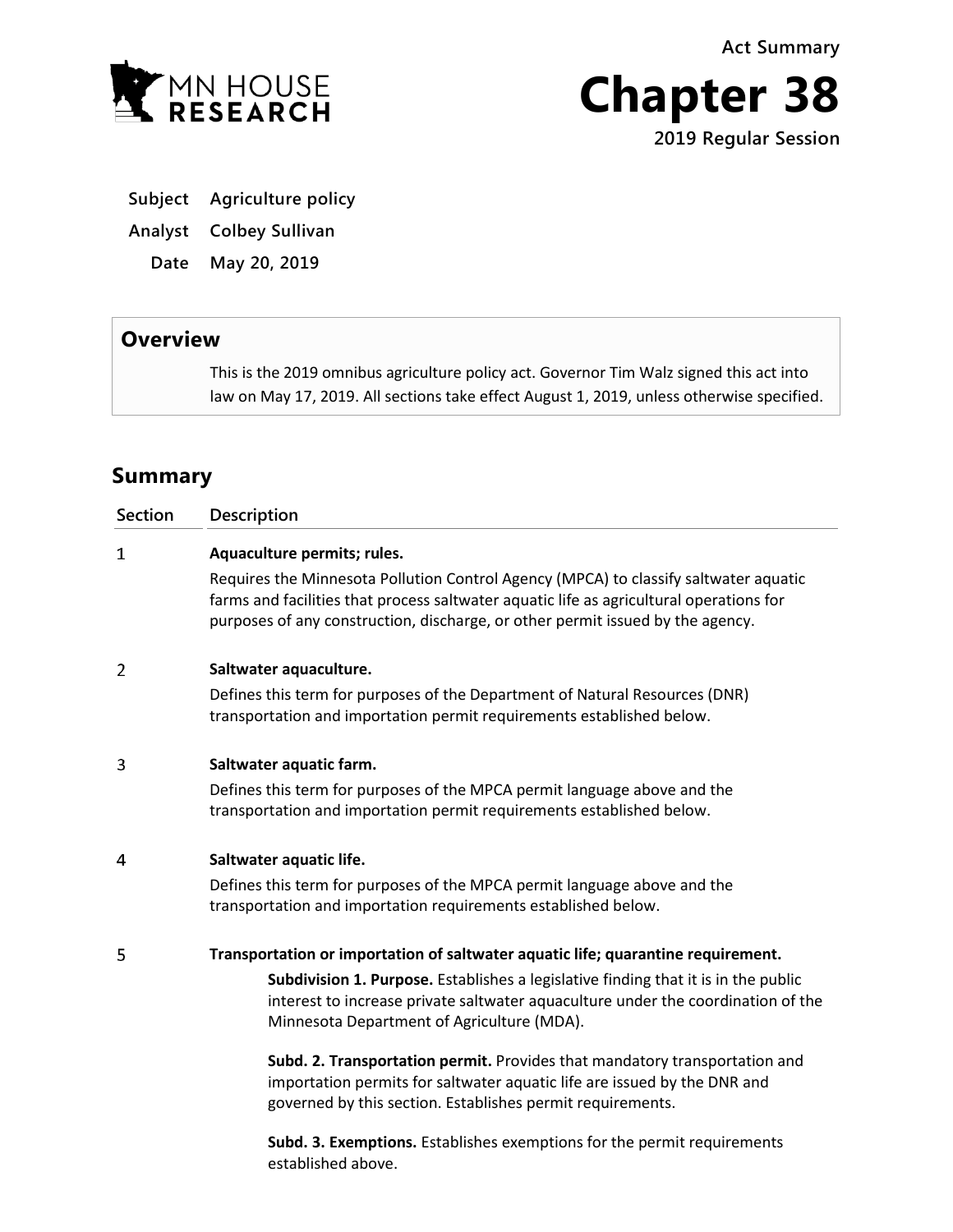**Act Summary**



**Chapter 38 2019 Regular Session**

**Subject Agriculture policy**

**Analyst Colbey Sullivan**

**Date May 20, 2019**

## **Overview**

This is the 2019 omnibus agriculture policy act. Governor Tim Walz signed this act into law on May 17, 2019. All sections take effect August 1, 2019, unless otherwise specified.

# **Summary**

| <b>Section</b> | Description                                                                                                                                                                                                                                                       |
|----------------|-------------------------------------------------------------------------------------------------------------------------------------------------------------------------------------------------------------------------------------------------------------------|
| $\mathbf{1}$   | Aquaculture permits; rules.                                                                                                                                                                                                                                       |
|                | Requires the Minnesota Pollution Control Agency (MPCA) to classify saltwater aquatic<br>farms and facilities that process saltwater aquatic life as agricultural operations for<br>purposes of any construction, discharge, or other permit issued by the agency. |
| 2              | Saltwater aquaculture.                                                                                                                                                                                                                                            |
|                | Defines this term for purposes of the Department of Natural Resources (DNR)<br>transportation and importation permit requirements established below.                                                                                                              |
| 3              | Saltwater aquatic farm.                                                                                                                                                                                                                                           |
|                | Defines this term for purposes of the MPCA permit language above and the<br>transportation and importation permit requirements established below.                                                                                                                 |
| 4              | Saltwater aquatic life.                                                                                                                                                                                                                                           |
|                | Defines this term for purposes of the MPCA permit language above and the<br>transportation and importation requirements established below.                                                                                                                        |
| 5              | Transportation or importation of saltwater aquatic life; quarantine requirement.                                                                                                                                                                                  |
|                | Subdivision 1. Purpose. Establishes a legislative finding that it is in the public<br>interest to increase private saltwater aquaculture under the coordination of the<br>Minnesota Department of Agriculture (MDA).                                              |
|                | Subd. 2. Transportation permit. Provides that mandatory transportation and<br>importation permits for saltwater aquatic life are issued by the DNR and<br>governed by this section. Establishes permit requirements.                                              |
|                | Subd. 3. Exemptions. Establishes exemptions for the permit requirements                                                                                                                                                                                           |

established above.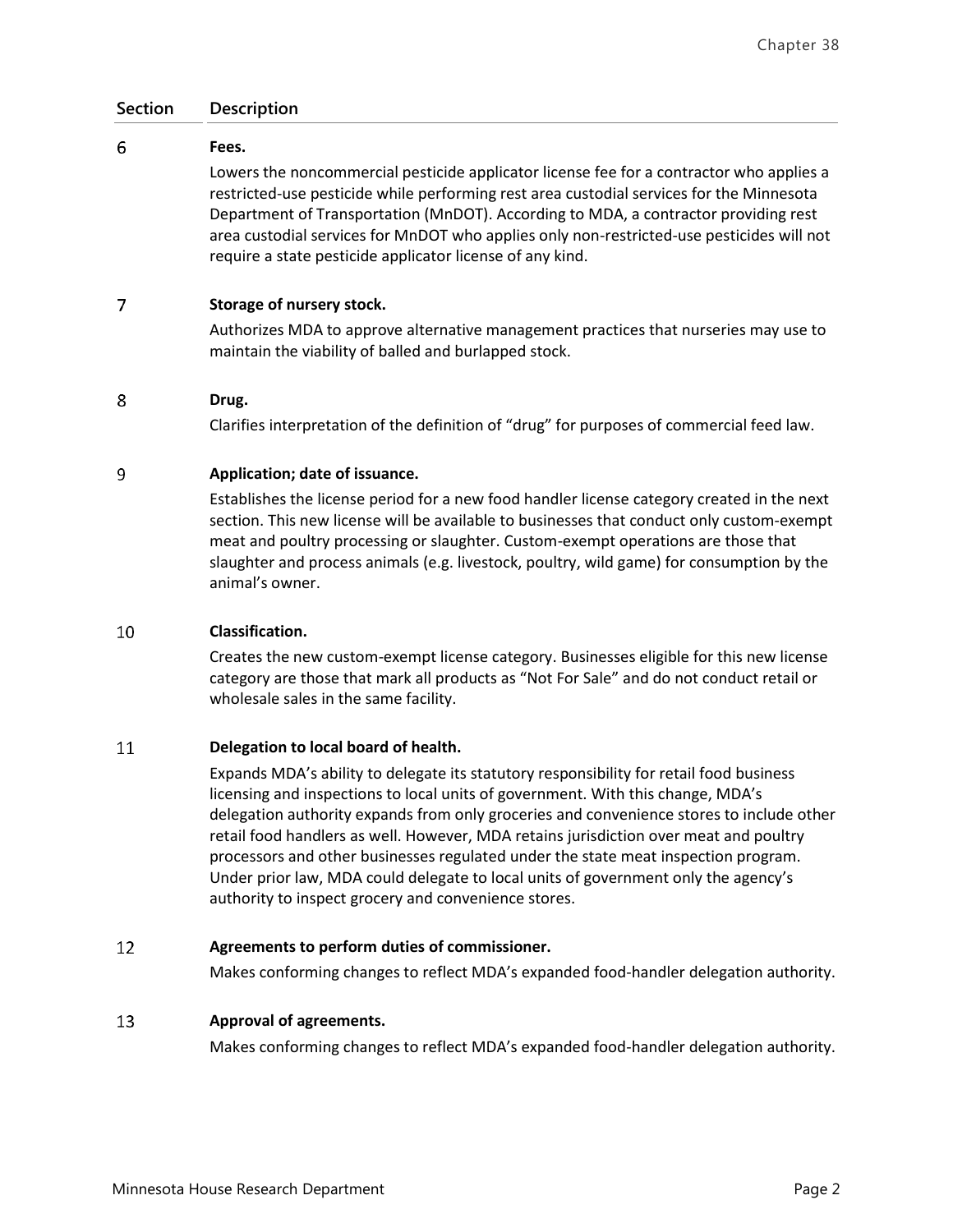### **Section Description**

#### 6 **Fees.**

Lowers the noncommercial pesticide applicator license fee for a contractor who applies a restricted-use pesticide while performing rest area custodial services for the Minnesota Department of Transportation (MnDOT). According to MDA, a contractor providing rest area custodial services for MnDOT who applies only non-restricted-use pesticides will not require a state pesticide applicator license of any kind.

#### 7 **Storage of nursery stock.**

Authorizes MDA to approve alternative management practices that nurseries may use to maintain the viability of balled and burlapped stock.

#### 8 **Drug.**

Clarifies interpretation of the definition of "drug" for purposes of commercial feed law.

#### 9 **Application; date of issuance.**

Establishes the license period for a new food handler license category created in the next section. This new license will be available to businesses that conduct only custom-exempt meat and poultry processing or slaughter. Custom-exempt operations are those that slaughter and process animals (e.g. livestock, poultry, wild game) for consumption by the animal's owner.

#### 10 **Classification.**

Creates the new custom-exempt license category. Businesses eligible for this new license category are those that mark all products as "Not For Sale" and do not conduct retail or wholesale sales in the same facility.

#### 11 **Delegation to local board of health.**

Expands MDA's ability to delegate its statutory responsibility for retail food business licensing and inspections to local units of government. With this change, MDA's delegation authority expands from only groceries and convenience stores to include other retail food handlers as well. However, MDA retains jurisdiction over meat and poultry processors and other businesses regulated under the state meat inspection program. Under prior law, MDA could delegate to local units of government only the agency's authority to inspect grocery and convenience stores.

#### 12 **Agreements to perform duties of commissioner.**

Makes conforming changes to reflect MDA's expanded food-handler delegation authority.

#### 13 **Approval of agreements.**

Makes conforming changes to reflect MDA's expanded food-handler delegation authority.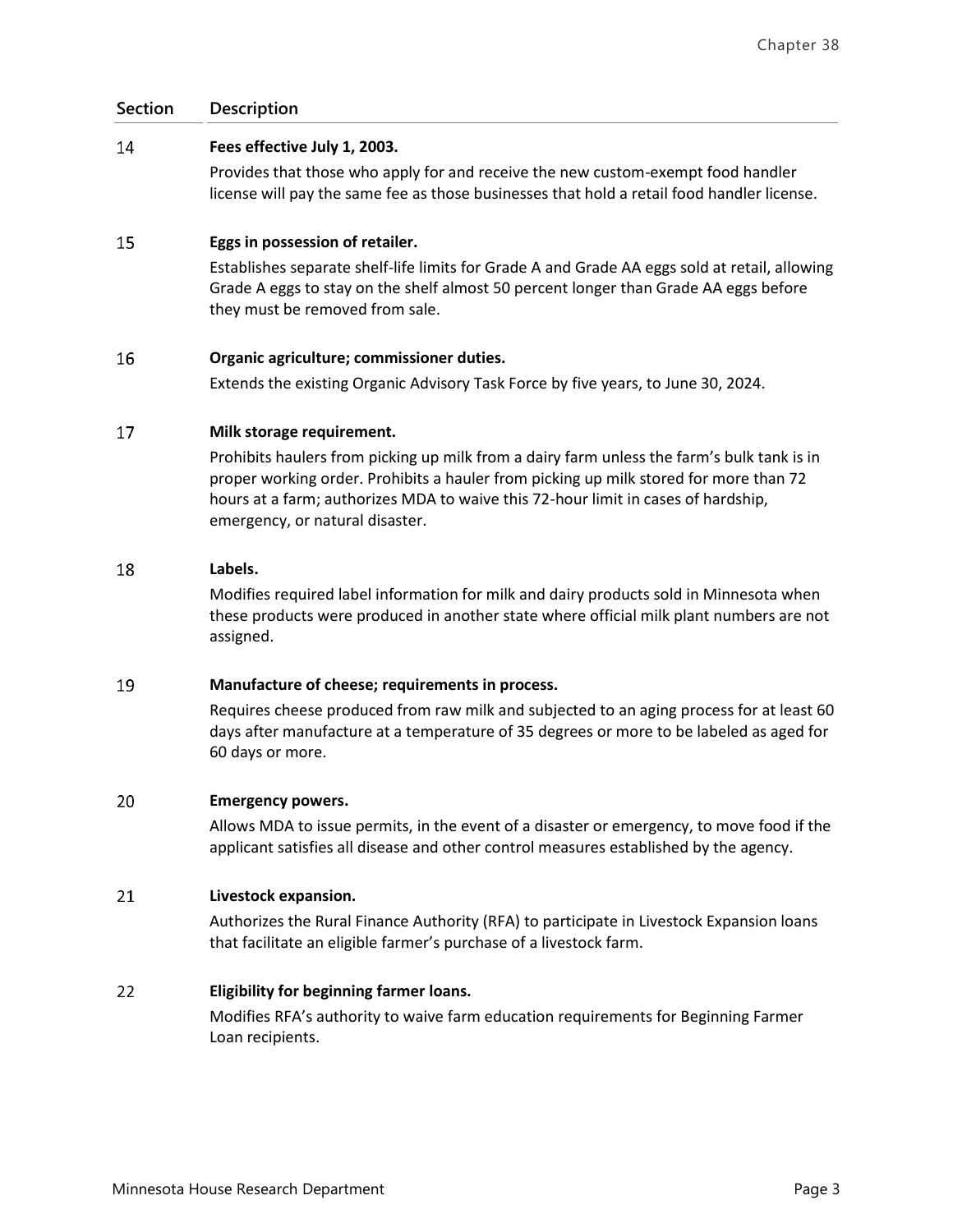### **Section Description**

#### 14 **Fees effective July 1, 2003.**

Provides that those who apply for and receive the new custom-exempt food handler license will pay the same fee as those businesses that hold a retail food handler license.

#### 15 **Eggs in possession of retailer.**

Establishes separate shelf-life limits for Grade A and Grade AA eggs sold at retail, allowing Grade A eggs to stay on the shelf almost 50 percent longer than Grade AA eggs before they must be removed from sale.

#### 16 **Organic agriculture; commissioner duties.**

Extends the existing Organic Advisory Task Force by five years, to June 30, 2024.

#### 17 **Milk storage requirement.**

Prohibits haulers from picking up milk from a dairy farm unless the farm's bulk tank is in proper working order. Prohibits a hauler from picking up milk stored for more than 72 hours at a farm; authorizes MDA to waive this 72-hour limit in cases of hardship, emergency, or natural disaster.

#### 18 **Labels.**

Modifies required label information for milk and dairy products sold in Minnesota when these products were produced in another state where official milk plant numbers are not assigned.

#### 19 **Manufacture of cheese; requirements in process.**

Requires cheese produced from raw milk and subjected to an aging process for at least 60 days after manufacture at a temperature of 35 degrees or more to be labeled as aged for 60 days or more.

#### 20 **Emergency powers.**

Allows MDA to issue permits, in the event of a disaster or emergency, to move food if the applicant satisfies all disease and other control measures established by the agency.

#### 21 **Livestock expansion.**

Authorizes the Rural Finance Authority (RFA) to participate in Livestock Expansion loans that facilitate an eligible farmer's purchase of a livestock farm.

#### 22 **Eligibility for beginning farmer loans.**

Modifies RFA's authority to waive farm education requirements for Beginning Farmer Loan recipients.